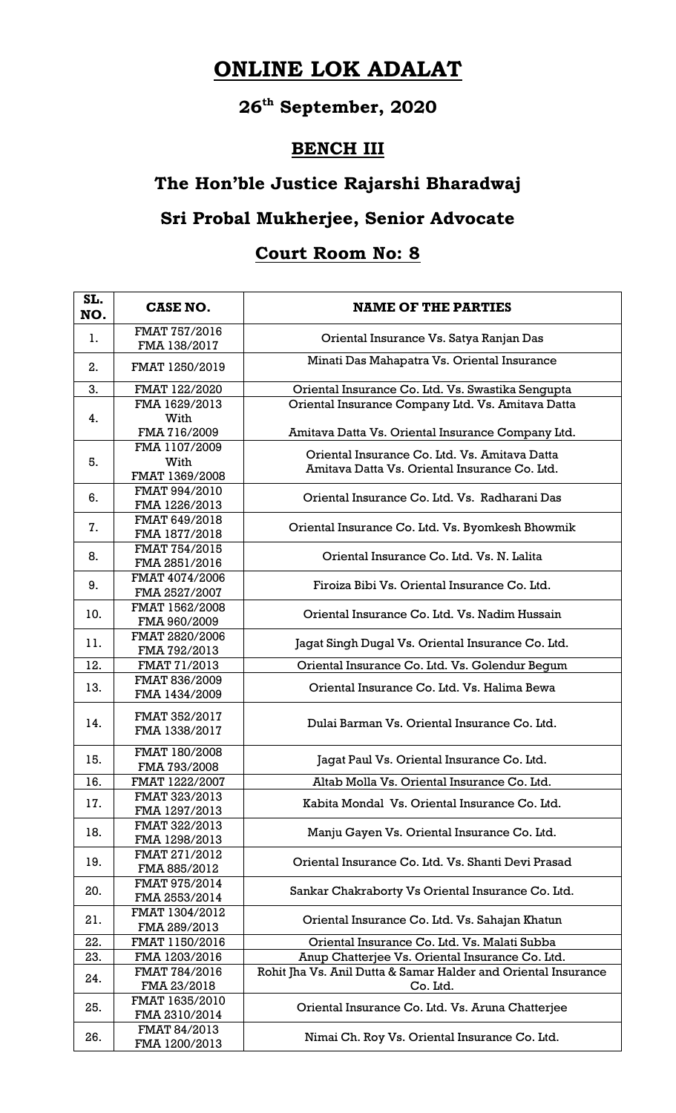# **ONLINE LOK ADALAT**

## **26th September, 2020**

### **BENCH III**

### **The Hon'ble Justice Rajarshi Bharadwaj**

### **Sri Probal Mukherjee, Senior Advocate**

### **Court Room No: 8**

| SL.<br>NO. | CASE NO.                        | <b>NAME OF THE PARTIES</b>                                                                     |
|------------|---------------------------------|------------------------------------------------------------------------------------------------|
| 1.         | FMAT 757/2016<br>FMA 138/2017   | Oriental Insurance Vs. Satya Ranjan Das                                                        |
| 2.         | FMAT 1250/2019                  | Minati Das Mahapatra Vs. Oriental Insurance                                                    |
| 3.         | FMAT 122/2020                   | Oriental Insurance Co. Ltd. Vs. Swastika Sengupta                                              |
| 4.         | FMA 1629/2013                   | Oriental Insurance Company Ltd. Vs. Amitava Datta                                              |
|            | With<br>FMA 716/2009            | Amitava Datta Vs. Oriental Insurance Company Ltd.                                              |
|            | FMA 1107/2009                   |                                                                                                |
| 5.         | With<br>FMAT 1369/2008          | Oriental Insurance Co. Ltd. Vs. Amitava Datta<br>Amitava Datta Vs. Oriental Insurance Co. Ltd. |
| 6.         | FMAT 994/2010<br>FMA 1226/2013  | Oriental Insurance Co. Ltd. Vs. Radharani Das                                                  |
| 7.         | FMAT 649/2018<br>FMA 1877/2018  | Oriental Insurance Co. Ltd. Vs. Byomkesh Bhowmik                                               |
| 8.         | FMAT 754/2015<br>FMA 2851/2016  | Oriental Insurance Co. Ltd. Vs. N. Lalita                                                      |
| 9.         | FMAT 4074/2006<br>FMA 2527/2007 | Firoiza Bibi Vs. Oriental Insurance Co. Ltd.                                                   |
| 10.        | FMAT 1562/2008<br>FMA 960/2009  | Oriental Insurance Co. Ltd. Vs. Nadim Hussain                                                  |
| 11.        | FMAT 2820/2006<br>FMA 792/2013  | Jagat Singh Dugal Vs. Oriental Insurance Co. Ltd.                                              |
| 12.        | FMAT 71/2013                    | Oriental Insurance Co. Ltd. Vs. Golendur Begum                                                 |
| 13.        | FMAT 836/2009<br>FMA 1434/2009  | Oriental Insurance Co. Ltd. Vs. Halima Bewa                                                    |
| 14.        | FMAT 352/2017<br>FMA 1338/2017  | Dulai Barman Vs. Oriental Insurance Co. Ltd.                                                   |
| 15.        | FMAT 180/2008<br>FMA 793/2008   | Jagat Paul Vs. Oriental Insurance Co. Ltd.                                                     |
| 16.        | FMAT 1222/2007                  | Altab Molla Vs. Oriental Insurance Co. Ltd.                                                    |
| 17.        | FMAT 323/2013<br>FMA 1297/2013  | Kabita Mondal Vs. Oriental Insurance Co. Ltd.                                                  |
| 18.        | FMAT 322/2013<br>FMA 1298/2013  | Manju Gayen Vs. Oriental Insurance Co. Ltd.                                                    |
| 19.        | FMAT 271/2012<br>FMA 885/2012   | Oriental Insurance Co. Ltd. Vs. Shanti Devi Prasad                                             |
| 20.        | FMAT 975/2014<br>FMA 2553/2014  | Sankar Chakraborty Vs Oriental Insurance Co. Ltd.                                              |
| 21.        | FMAT 1304/2012<br>FMA 289/2013  | Oriental Insurance Co. Ltd. Vs. Sahajan Khatun                                                 |
| 22.        | FMAT 1150/2016                  | Oriental Insurance Co. Ltd. Vs. Malati Subba                                                   |
| 23.        | FMA 1203/2016                   | Anup Chatterjee Vs. Oriental Insurance Co. Ltd.                                                |
| 24.        | FMAT 784/2016                   | Rohit Jha Vs. Anil Dutta & Samar Halder and Oriental Insurance                                 |
|            | FMA 23/2018                     | Co. Ltd.                                                                                       |
| 25.        | FMAT 1635/2010<br>FMA 2310/2014 | Oriental Insurance Co. Ltd. Vs. Aruna Chatterjee                                               |
| 26.        | FMAT 84/2013<br>FMA 1200/2013   | Nimai Ch. Roy Vs. Oriental Insurance Co. Ltd.                                                  |